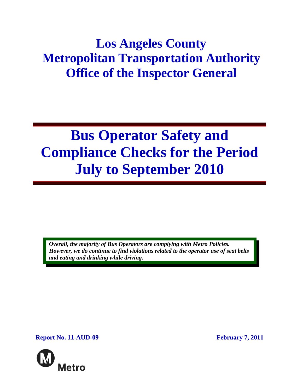## **Los Angeles County Metropolitan Transportation Authority Office of the Inspector General**

# **Bus Operator Safety and Compliance Checks for the Period July to September 2010**

*Overall, the majority of Bus Operators are complying with Metro Policies. However, we do continue to find violations related to the operator use of seat belts and eating and drinking while driving.* 

**Report No. 11-AUD-09 February 7, 2011** 

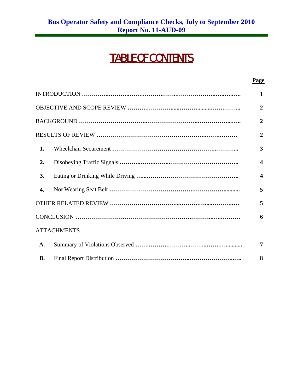## TABLE OF CONTENTS

|                  |                    | <b>Page</b>             |
|------------------|--------------------|-------------------------|
|                  |                    | 1                       |
|                  |                    | $\overline{2}$          |
|                  |                    | $\overline{2}$          |
|                  |                    | $\overline{2}$          |
| 1.               |                    | $\overline{\mathbf{3}}$ |
| $\overline{2}$ . |                    | $\overline{\mathbf{4}}$ |
| 3.               |                    | $\overline{\mathbf{4}}$ |
| 4.               |                    | 5                       |
|                  |                    | 5                       |
|                  |                    | 6                       |
|                  | <b>ATTACHMENTS</b> |                         |
| A.               |                    | 7                       |
| <b>B.</b>        |                    | 8                       |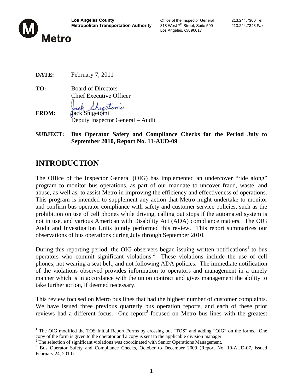

Los Angeles, CA 90017

**DATE:** February 7, 2011

**TO:** Board of Directors Chief Executive Officer

retomi **FROM:** Jack Shigetomi Deputy Inspector General – Audit

**SUBJECT: Bus Operator Safety and Compliance Checks for the Period July to September 2010, Report No. 11-AUD-09**

## **INTRODUCTION**

The Office of the Inspector General (OIG) has implemented an undercover "ride along" program to monitor bus operations, as part of our mandate to uncover fraud, waste, and abuse, as well as, to assist Metro in improving the efficiency and effectiveness of operations. This program is intended to supplement any action that Metro might undertake to monitor and confirm bus operator compliance with safety and customer service policies, such as the prohibition on use of cell phones while driving, calling out stops if the automated system is not in use, and various American with Disability Act (ADA) compliance matters. The OIG Audit and Investigation Units jointly performed this review. This report summarizes our observations of bus operations during July through September 2010.

During this reporting period, the OIG observers began issuing written notifications<sup>1</sup> to bus operators who commit significant violations.<sup>2</sup> These violations include the use of cell phones, not wearing a seat belt, and not following ADA policies. The immediate notification of the violations observed provides information to operators and management in a timely manner which is in accordance with the union contract and gives management the ability to take further action, if deemed necessary.

This review focused on Metro bus lines that had the highest number of customer complaints. We have issued three previous quarterly bus operation reports, and each of these prior reviews had a different focus. One report<sup>3</sup> focused on Metro bus lines with the greatest

<sup>&</sup>lt;sup>1</sup> The OIG modified the TOS Initial Report Forms by crossing out "TOS" and adding "OIG" on the forms. One copy of the form is given to the operator and a copy is sent to the applicable division manager. 2 The selection of significant violations was coordinated with Senior Operations Management.

<sup>&</sup>lt;sup>3</sup> Bus Operator Safety and Compliance Checks, October to December 2009 (Report No. 10-AUD-07, issued February 24, 2010)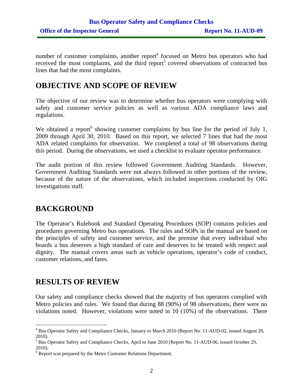number of customer complaints, another report<sup>4</sup> focused on Metro bus operators who had received the most complaints, and the third report<sup>5</sup> covered observations of contracted bus lines that had the most complaints.

## **OBJECTIVE AND SCOPE OF REVIEW**

The objective of our review was to determine whether bus operators were complying with safety and customer service policies as well as various ADA compliance laws and regulations.

We obtained a report<sup>6</sup> showing customer complaints by bus line for the period of July 1, 2009 through April 30, 2010. Based on this report, we selected 7 lines that had the most ADA related complaints for observation. We completed a total of 98 observations during this period. During the observations, we used a checklist to evaluate operator performance.

The audit portion of this review followed Government Auditing Standards. However, Government Auditing Standards were not always followed in other portions of the review, because of the nature of the observations, which included inspections conducted by OIG investigations staff.

## **BACKGROUND**

The Operator's Rulebook and Standard Operating Procedures (SOP) contains policies and procedures governing Metro bus operations. The rules and SOPs in the manual are based on the principles of safety and customer service, and the premise that every individual who boards a bus deserves a high standard of care and deserves to be treated with respect and dignity. The manual covers areas such as vehicle operations, operator's code of conduct, customer relations, and fares.

### **RESULTS OF REVIEW**

Our safety and compliance checks showed that the majority of bus operators complied with Metro policies and rules. We found that during 88 (90%) of 98 observations, there were no violations noted. However, violations were noted in 10 (10%) of the observations. There

<sup>&</sup>lt;sup>4</sup> Bus Operator Safety and Compliance Checks, January to March 2010 (Report No. 11-AUD-02, issued August 20, 2010).

<sup>&</sup>lt;sup>5</sup> Bus Operator Safety and Compliance Checks, April to June 2010 (Report No. 11-AUD-06, issued October 29, 2010).

 $6$  Report was prepared by the Metro Customer Relations Department.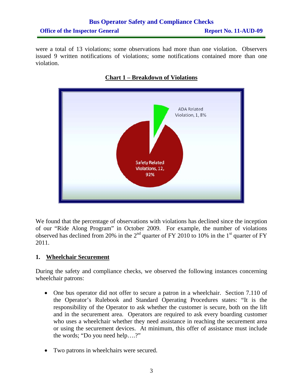## **Bus Operator Safety and Compliance Checks Office of the Inspector General Report No. 11-AUD-09**

were a total of 13 violations; some observations had more than one violation. Observers issued 9 written notifications of violations; some notifications contained more than one violation.



#### **Chart 1 – Breakdown of Violations**

We found that the percentage of observations with violations has declined since the inception of our "Ride Along Program" in October 2009. For example, the number of violations observed has declined from 20% in the  $2<sup>nd</sup>$  quarter of FY 2010 to 10% in the 1<sup>st</sup> quarter of FY 2011.

#### **1. Wheelchair Securement**

During the safety and compliance checks, we observed the following instances concerning wheelchair patrons:

- One bus operator did not offer to secure a patron in a wheelchair. Section 7.110 of the Operator's Rulebook and Standard Operating Procedures states: "It is the responsibility of the Operator to ask whether the customer is secure, both on the lift and in the securement area. Operators are required to ask every boarding customer who uses a wheelchair whether they need assistance in reaching the securement area or using the securement devices. At minimum, this offer of assistance must include the words; "Do you need help….?"
- Two patrons in wheelchairs were secured.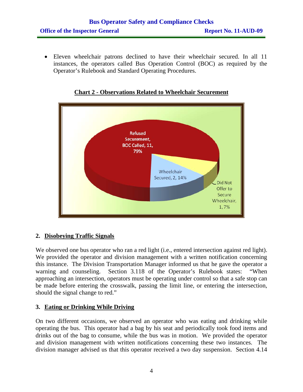• Eleven wheelchair patrons declined to have their wheelchair secured. In all 11 instances, the operators called Bus Operation Control (BOC) as required by the Operator's Rulebook and Standard Operating Procedures.



**Chart 2 - Observations Related to Wheelchair Securement**

#### **2. Disobeying Traffic Signals**

We observed one bus operator who ran a red light (i.e., entered intersection against red light). We provided the operator and division management with a written notification concerning this instance. The Division Transportation Manager informed us that he gave the operator a warning and counseling. Section 3.118 of the Operator's Rulebook states: "When approaching an intersection, operators must be operating under control so that a safe stop can be made before entering the crosswalk, passing the limit line, or entering the intersection, should the signal change to red."

#### **3. Eating or Drinking While Driving**

On two different occasions, we observed an operator who was eating and drinking while operating the bus. This operator had a bag by his seat and periodically took food items and drinks out of the bag to consume, while the bus was in motion. We provided the operator and division management with written notifications concerning these two instances. The division manager advised us that this operator received a two day suspension. Section 4.14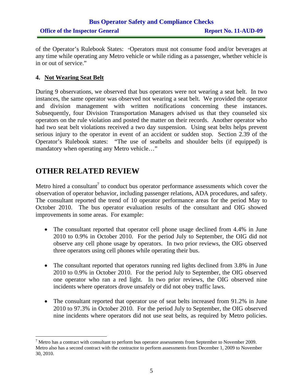### **Bus Operator Safety and Compliance Checks Office of the Inspector General Report No. 11-AUD-09**

of the Operator's Rulebook States: "Operators must not consume food and/or beverages at any time while operating any Metro vehicle or while riding as a passenger, whether vehicle is in or out of service."

#### **4. Not Wearing Seat Belt**

During 9 observations, we observed that bus operators were not wearing a seat belt. In two instances, the same operator was observed not wearing a seat belt. We provided the operator and division management with written notifications concerning these instances. Subsequently, four Division Transportation Managers advised us that they counseled six operators on the rule violation and posted the matter on their records. Another operator who had two seat belt violations received a two day suspension. Using seat belts helps prevent serious injury to the operator in event of an accident or sudden stop. Section 2.39 of the Operator's Rulebook states: "The use of seatbelts and shoulder belts (if equipped) is mandatory when operating any Metro vehicle…"

## **OTHER RELATED REVIEW**

Metro hired a consultant<sup>7</sup> to conduct bus operator performance assessments which cover the observation of operator behavior, including passenger relations, ADA procedures, and safety. The consultant reported the trend of 10 operator performance areas for the period May to October 2010. The bus operator evaluation results of the consultant and OIG showed improvements in some areas. For example:

- The consultant reported that operator cell phone usage declined from 4.4% in June 2010 to 0.9% in October 2010. For the period July to September, the OIG did not observe any cell phone usage by operators. In two prior reviews, the OIG observed three operators using cell phones while operating their bus.
- The consultant reported that operators running red lights declined from 3.8% in June 2010 to 0.9% in October 2010. For the period July to September, the OIG observed one operator who ran a red light. In two prior reviews, the OIG observed nine incidents where operators drove unsafely or did not obey traffic laws.
- The consultant reported that operator use of seat belts increased from 91.2% in June 2010 to 97.3% in October 2010. For the period July to September, the OIG observed nine incidents where operators did not use seat belts, as required by Metro policies.

 $<sup>7</sup>$  Metro has a contract with consultant to perform bus operator assessments from September to November 2009.</sup> Metro also has a second contract with the contractor to perform assessments from December 1, 2009 to November 30, 2010.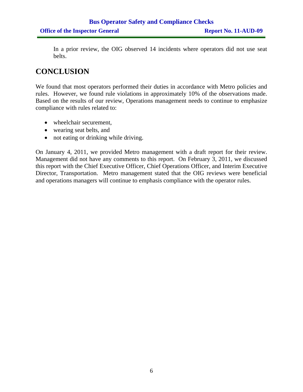In a prior review, the OIG observed 14 incidents where operators did not use seat belts.

## **CONCLUSION**

We found that most operators performed their duties in accordance with Metro policies and rules. However, we found rule violations in approximately 10% of the observations made. Based on the results of our review, Operations management needs to continue to emphasize compliance with rules related to:

- wheelchair securement,
- wearing seat belts, and
- not eating or drinking while driving.

On January 4, 2011, we provided Metro management with a draft report for their review. Management did not have any comments to this report. On February 3, 2011, we discussed this report with the Chief Executive Officer, Chief Operations Officer, and Interim Executive Director, Transportation. Metro management stated that the OIG reviews were beneficial and operations managers will continue to emphasis compliance with the operator rules.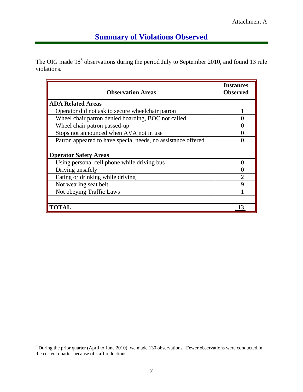## **Summary of Violations Observed**

The OIG made 98<sup>8</sup> observations during the period July to September 2010, and found 13 rule violations.

| <b>Observation Areas</b>                                     | <b>Instances</b><br><b>Observed</b> |
|--------------------------------------------------------------|-------------------------------------|
| <b>ADA Related Areas</b>                                     |                                     |
| Operator did not ask to secure wheelchair patron             |                                     |
| Wheel chair patron denied boarding, BOC not called           |                                     |
| Wheel chair patron passed-up                                 |                                     |
| Stops not announced when AVA not in use                      |                                     |
| Patron appeared to have special needs, no assistance offered |                                     |
|                                                              |                                     |
| <b>Operator Safety Areas</b>                                 |                                     |
| Using personal cell phone while driving bus                  |                                     |
| Driving unsafely                                             |                                     |
| Eating or drinking while driving                             | $\mathcal{D}_{\mathcal{L}}$         |
| Not wearing seat belt                                        | Q                                   |
| Not obeying Traffic Laws                                     |                                     |
|                                                              |                                     |
| <b>TOTAL</b>                                                 |                                     |

<sup>&</sup>lt;sup>8</sup> During the prior quarter (April to June 2010), we made 130 observations. Fewer observations were conducted in the current quarter because of staff reductions.